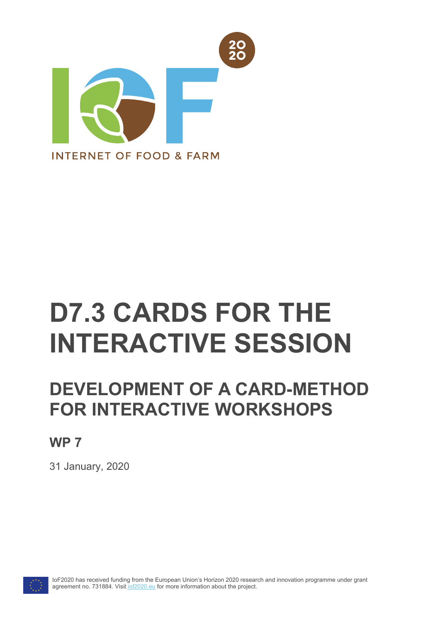

# **D7.3 CARDS FOR THE INTERACTIVE SESSION**

# **DEVELOPMENT OF A CARD-METHOD FOR INTERACTIVE WORKSHOPS**

### **WP 7**

31 January, 2020



IoF2020 has received funding from the European Union's Horizon 2020 research and innovation programme under grant agreement no. 731884. Visit [iof2020.eu](http://www.iof2020.eu/) for more information about the project.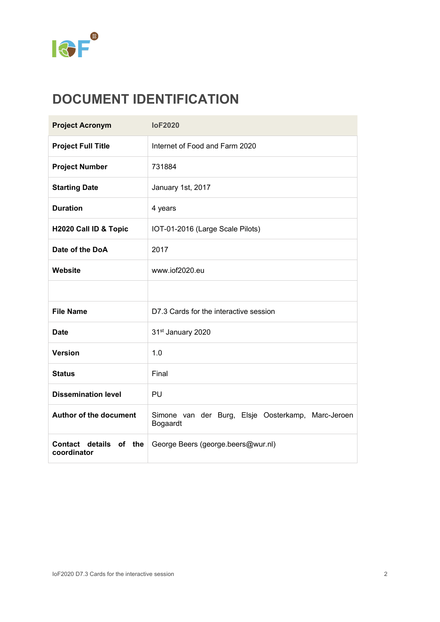

# **DOCUMENT IDENTIFICATION**

| <b>Project Acronym</b>                | <b>IoF2020</b>                                                 |  |  |
|---------------------------------------|----------------------------------------------------------------|--|--|
| <b>Project Full Title</b>             | Internet of Food and Farm 2020                                 |  |  |
| <b>Project Number</b>                 | 731884                                                         |  |  |
| <b>Starting Date</b>                  | January 1st, 2017                                              |  |  |
| <b>Duration</b>                       | 4 years                                                        |  |  |
| H2020 Call ID & Topic                 | IOT-01-2016 (Large Scale Pilots)                               |  |  |
| Date of the DoA                       | 2017                                                           |  |  |
| Website                               | www.iof2020.eu                                                 |  |  |
|                                       |                                                                |  |  |
| <b>File Name</b>                      | D7.3 Cards for the interactive session                         |  |  |
| <b>Date</b>                           | 31st January 2020                                              |  |  |
| <b>Version</b>                        | 1.0                                                            |  |  |
| <b>Status</b>                         | Final                                                          |  |  |
| <b>Dissemination level</b>            | PU                                                             |  |  |
| <b>Author of the document</b>         | Simone van der Burg, Elsje Oosterkamp, Marc-Jeroen<br>Bogaardt |  |  |
| Contact details of the<br>coordinator | George Beers (george.beers@wur.nl)                             |  |  |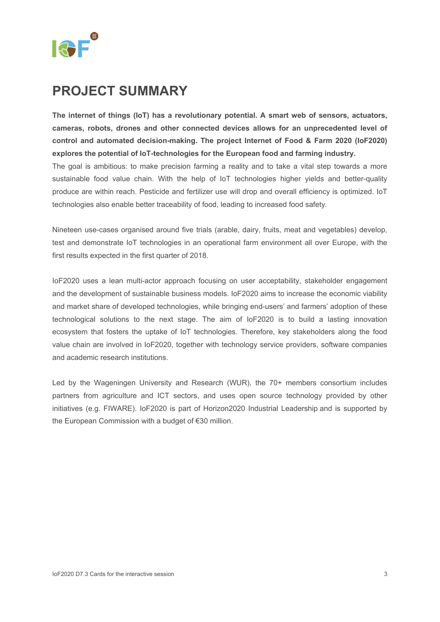

### **PROJECT SUMMARY**

**The internet of things (IoT) has a revolutionary potential. A smart web of sensors, actuators, cameras, robots, drones and other connected devices allows for an unprecedented level of control and automated decision-making. The project Internet of Food & Farm 2020 (IoF2020) explores the potential of IoT-technologies for the European food and farming industry.** The goal is ambitious: to make precision farming a reality and to take a vital step towards a more sustainable food value chain. With the help of IoT technologies higher yields and better-quality produce are within reach. Pesticide and fertilizer use will drop and overall efficiency is optimized. IoT technologies also enable better traceability of food, leading to increased food safety.

Nineteen use-cases organised around five trials (arable, dairy, fruits, meat and vegetables) develop, test and demonstrate IoT technologies in an operational farm environment all over Europe, with the first results expected in the first quarter of 2018.

IoF2020 uses a lean multi-actor approach focusing on user acceptability, stakeholder engagement and the development of sustainable business models. IoF2020 aims to increase the economic viability and market share of developed technologies, while bringing end-users' and farmers' adoption of these technological solutions to the next stage. The aim of IoF2020 is to build a lasting innovation ecosystem that fosters the uptake of IoT technologies. Therefore, key stakeholders along the food value chain are involved in IoF2020, together with technology service providers, software companies and academic research institutions.

Led by the Wageningen University and Research (WUR), the 70+ members consortium includes partners from agriculture and ICT sectors, and uses open source technology provided by other initiatives (e.g. FIWARE). IoF2020 is part of Horizon2020 Industrial Leadership and is supported by the European Commission with a budget of €30 million.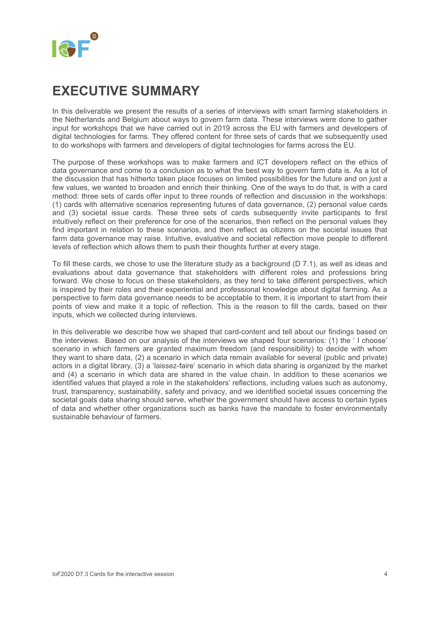# <span id="page-3-0"></span>**EXECUTIVE SUMMARY**

In this deliverable we present the results of a series of interviews with smart farming stakeholders in the Netherlands and Belgium about ways to govern farm data. These interviews were done to gather input for workshops that we have carried out in 2019 across the EU with farmers and developers of digital technologies for farms. They offered content for three sets of cards that we subsequently used to do workshops with farmers and developers of digital technologies for farms across the EU.

The purpose of these workshops was to make farmers and ICT developers reflect on the ethics of data governance and come to a conclusion as to what the best way to govern farm data is. As a lot of the discussion that has hitherto taken place focuses on limited possibilities for the future and on just a few values, we wanted to broaden and enrich their thinking. One of the ways to do that, is with a card method: three sets of cards offer input to three rounds of reflection and discussion in the workshops: (1) cards with alternative scenarios representing futures of data governance, (2) personal value cards and (3) societal issue cards. These three sets of cards subsequently invite participants to first intuitively reflect on their preference for one of the scenarios, then reflect on the personal values they find important in relation to these scenarios, and then reflect as citizens on the societal issues that farm data governance may raise. Intuitive, evaluative and societal reflection move people to different levels of reflection which allows them to push their thoughts further at every stage.

To fill these cards, we chose to use the literature study as a background (D 7.1), as well as ideas and evaluations about data governance that stakeholders with different roles and professions bring forward. We chose to focus on these stakeholders, as they tend to take different perspectives, which is inspired by their roles and their experiential and professional knowledge about digital farming. As a perspective to farm data governance needs to be acceptable to them, it is important to start from their points of view and make it a topic of reflection. This is the reason to fill the cards, based on their inputs, which we collected during interviews.

In this deliverable we describe how we shaped that card-content and tell about our findings based on the interviews. Based on our analysis of the interviews we shaped four scenarios: (1) the ' I choose' scenario in which farmers are granted maximum freedom (and responsibility) to decide with whom they want to share data, (2) a scenario in which data remain available for several (public and private) actors in a digital library, (3) a 'laissez-faire' scenario in which data sharing is organized by the market and (4) a scenario in which data are shared in the value chain. In addition to these scenarios we identified values that played a role in the stakeholders' reflections, including values such as autonomy, trust, transparency, sustainability, safety and privacy, and we identified societal issues concerning the societal goals data sharing should serve, whether the government should have access to certain types of data and whether other organizations such as banks have the mandate to foster environmentally sustainable behaviour of farmers.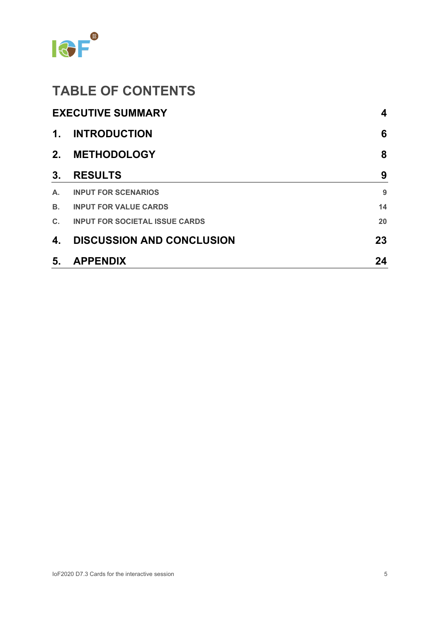

# **TABLE OF CONTENTS**

|                | <b>EXECUTIVE SUMMARY</b>              | 4  |
|----------------|---------------------------------------|----|
| $\mathbf 1$ .  | <b>INTRODUCTION</b>                   | 6  |
| 2.             | <b>METHODOLOGY</b>                    | 8  |
| 3.             | <b>RESULTS</b>                        | 9  |
| А.             | <b>INPUT FOR SCENARIOS</b>            | 9  |
| В.             | <b>INPUT FOR VALUE CARDS</b>          | 14 |
| $\mathbf{C}$ . | <b>INPUT FOR SOCIETAL ISSUE CARDS</b> | 20 |
| 4.             | <b>DISCUSSION AND CONCLUSION</b>      | 23 |
| 5.             | <b>APPENDIX</b>                       | 24 |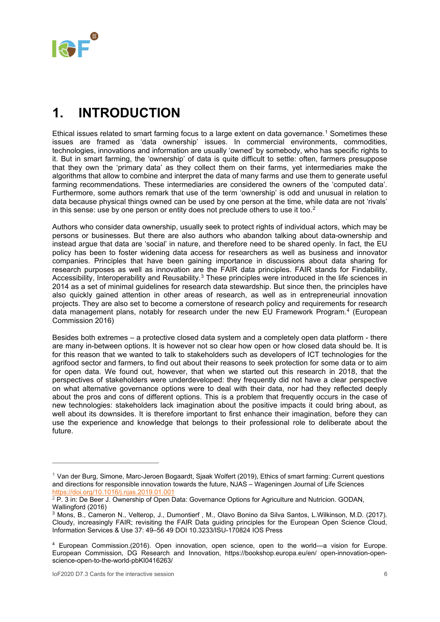

### <span id="page-5-0"></span>**1. INTRODUCTION**

Ethical issues related to smart farming focus to a large extent on data governance. [1](#page-5-1) Sometimes these issues are framed as 'data ownership' issues. In commercial environments, commodities, technologies, innovations and information are usually 'owned' by somebody, who has specific rights to it. But in smart farming, the 'ownership' of data is quite difficult to settle: often, farmers presuppose that they own the 'primary data' as they collect them on their farms, yet intermediaries make the algorithms that allow to combine and interpret the data of many farms and use them to generate useful farming recommendations. These intermediaries are considered the owners of the 'computed data'. Furthermore, some authors remark that use of the term 'ownership' is odd and unusual in relation to data because physical things owned can be used by one person at the time, while data are not 'rivals' in this sense: use by one person or entity does not preclude others to use it too. $^{\text{2}}$  $^{\text{2}}$  $^{\text{2}}$ 

Authors who consider data ownership, usually seek to protect rights of individual actors, which may be persons or businesses. But there are also authors who abandon talking about data-ownership and instead argue that data are 'social' in nature, and therefore need to be shared openly. In fact, the EU policy has been to foster widening data access for researchers as well as business and innovator companies. Principles that have been gaining importance in discussions about data sharing for research purposes as well as innovation are the FAIR data principles. FAIR stands for Findability, Accessibility, Interoperability and Reusability.<sup>[3](#page-5-3)</sup> These principles were introduced in the life sciences in 2014 as a set of minimal guidelines for research data stewardship. But since then, the principles have also quickly gained attention in other areas of research, as well as in entrepreneurial innovation projects. They are also set to become a cornerstone of research policy and requirements for research data management plans, notably for research under the new EU Framework Program.[4](#page-5-4) (European Commission 2016)

Besides both extremes – a protective closed data system and a completely open data platform - there are many in-between options. It is however not so clear how open or how closed data should be. It is for this reason that we wanted to talk to stakeholders such as developers of ICT technologies for the agrifood sector and farmers, to find out about their reasons to seek protection for some data or to aim for open data. We found out, however, that when we started out this research in 2018, that the perspectives of stakeholders were underdeveloped: they frequently did not have a clear perspective on what alternative governance options were to deal with their data, nor had they reflected deeply about the pros and cons of different options. This is a problem that frequently occurs in the case of new technologies: stakeholders lack imagination about the positive impacts it could bring about, as well about its downsides. It is therefore important to first enhance their imagination, before they can use the experience and knowledge that belongs to their professional role to deliberate about the future.

-

<span id="page-5-1"></span> $1$  Van der Burg, Simone, Marc-Jeroen Bogaardt, Sjaak Wolfert (2019), Ethics of smart farming: Current questions and directions for responsible innovation towards the future, NJAS – Wageningen Journal of Life Sciences <https://doi.org/10.1016/j.njas.2019.01.001>

<span id="page-5-2"></span><sup>&</sup>lt;sup>2</sup> P. 3 in: De Beer J. Ownership of Open Data: Governance Options for Agriculture and Nutricion. GODAN, Wallingford (2016)

<span id="page-5-3"></span><sup>3</sup> Mons, B., Cameron N., Velterop, J., Dumontierf , M., Olavo Bonino da Silva Santos, L.Wilkinson, M.D. (2017). Cloudy, increasingly FAIR; revisiting the FAIR Data guiding principles for the European Open Science Cloud, Information Services & Use 37: 49–56 49 DOI 10.3233/ISU-170824 IOS Press

<span id="page-5-4"></span><sup>4</sup> European Commission.(2016). Open innovation, open science, open to the world—a vision for Europe. European Commission, DG Research and Innovation, https://bookshop.europa.eu/en/ open-innovation-openscience-open-to-the-world-pbKI0416263/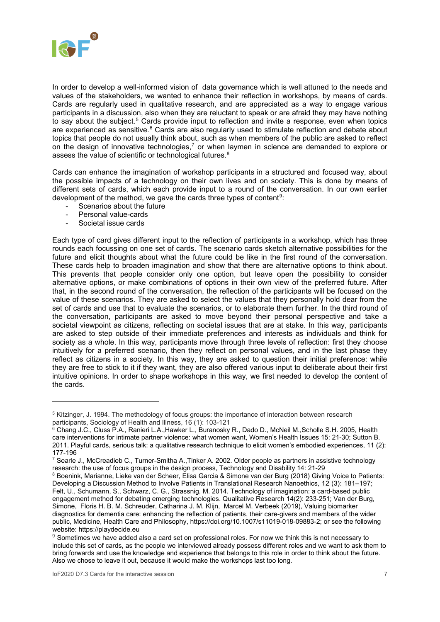

In order to develop a well-informed vision of data governance which is well attuned to the needs and values of the stakeholders, we wanted to enhance their reflection in workshops, by means of cards. Cards are regularly used in qualitative research, and are appreciated as a way to engage various participants in a discussion, also when they are reluctant to speak or are afraid they may have nothing to say about the subject.<sup>[5](#page-6-0)</sup> Cards provide input to reflection and invite a response, even when topics are experienced as sensitive.<sup>[6](#page-6-1)</sup> Cards are also regularly used to stimulate reflection and debate about topics that people do not usually think about, such as when members of the public are asked to reflect on the design of innovative technologies,<sup>[7](#page-6-2)</sup> or when laymen in science are demanded to explore or assess the value of scientific or technological futures.<sup>[8](#page-6-3)</sup>

Cards can enhance the imagination of workshop participants in a structured and focused way, about the possible impacts of a technology on their own lives and on society. This is done by means of different sets of cards, which each provide input to a round of the conversation. In our own earlier development of the method, we gave the cards three types of content<sup>9</sup>:

- Scenarios about the future<br>- Personal value-cards
- Personal value-cards
- Societal issue cards

-

Each type of card gives different input to the reflection of participants in a workshop, which has three rounds each focussing on one set of cards. The scenario cards sketch alternative possibilities for the future and elicit thoughts about what the future could be like in the first round of the conversation. These cards help to broaden imagination and show that there are alternative options to think about. This prevents that people consider only one option, but leave open the possibility to consider alternative options, or make combinations of options in their own view of the preferred future. After that, in the second round of the conversation, the reflection of the participants will be focused on the value of these scenarios. They are asked to select the values that they personally hold dear from the set of cards and use that to evaluate the scenarios, or to elaborate them further. In the third round of the conversation, participants are asked to move beyond their personal perspective and take a societal viewpoint as citizens, reflecting on societal issues that are at stake. In this way, participants are asked to step outside of their immediate preferences and interests as individuals and think for society as a whole. In this way, participants move through three levels of reflection: first they choose intuitively for a preferred scenario, then they reflect on personal values, and in the last phase they reflect as citizens in a society. In this way, they are asked to question their initial preference: while they are free to stick to it if they want, they are also offered various input to deliberate about their first intuitive opinions. In order to shape workshops in this way, we first needed to develop the content of the cards.

<span id="page-6-0"></span><sup>5</sup> Kitzinger, J. 1994. The methodology of focus groups: the importance of interaction between research participants, Sociology of Health and Illness, 16 (1): 103-121

<span id="page-6-1"></span> $^6$  Chang J.C., Cluss P.A., Ranieri L.A.,Hawker L., Buranosky R., Dado D., McNeil M.,Scholle S.H. 2005, Health care interventions for intimate partner violence: what women want, Women's Health Issues 15: 21-30; Sutton B. 2011. Playful cards, serious talk: a qualitative research technique to elicit women's embodied experiences, 11 (2): 177-196

<span id="page-6-2"></span> $^7$  Searle J., McCreadieb C., Turner-Smitha A., Tinker A. 2002. Older people as partners in assistive technology research: the use of focus groups in the design process, Technology and Disability 14: 21-29

<span id="page-6-3"></span><sup>8</sup> Boenink, Marianne, Lieke van der Scheer, Elisa Garcia & Simone van der Burg (2018) Giving Voice to Patients: Developing a Discussion Method to Involve Patients in Translational Research Nanoethics, 12 (3): 181–197; Felt, U., Schumann, S., Schwarz, C. G., Strassnig, M. 2014. Technology of imagination: a card-based public engagement method for debating emerging technologies. Qualitative Research 14(2): 233-251; Van der Burg, Simone, Floris H. B. M. Schreuder, Catharina J. M. Klijn, Marcel M. Verbeek (2019), Valuing biomarker diagnostics for dementia care: enhancing the reflection of patients, their care-givers and members of the wider public, Medicine, Health Care and Philosophy, [https://doi.org/10.1007/s11019-018-09883-2;](https://doi.org/10.1007/s11019-018-09883-2) or see the following website: https://playdecide.eu

<span id="page-6-4"></span><sup>&</sup>lt;sup>9</sup> Sometimes we have added also a card set on professional roles. For now we think this is not necessary to include this set of cards, as the people we interviewed already possess different roles and we want to ask them to bring forwards and use the knowledge and experience that belongs to this role in order to think about the future. Also we chose to leave it out, because it would make the workshops last too long.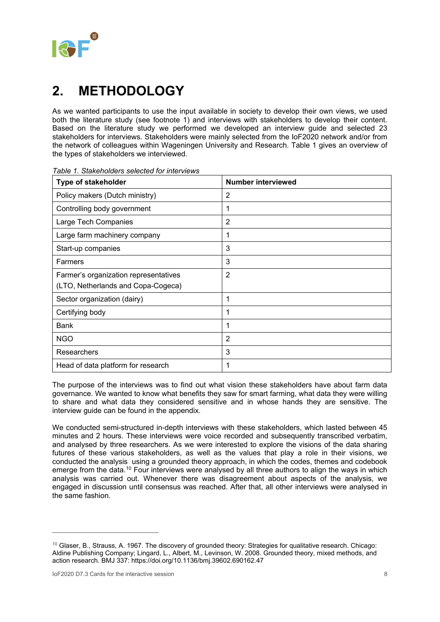

# <span id="page-7-0"></span>**2. METHODOLOGY**

As we wanted participants to use the input available in society to develop their own views, we used both the literature study (see footnote 1) and interviews with stakeholders to develop their content. Based on the literature study we performed we developed an interview guide and selected 23 stakeholders for interviews. Stakeholders were mainly selected from the IoF2020 network and/or from the network of colleagues within Wageningen University and Research. Table 1 gives an overview of the types of stakeholders we interviewed.

| <b>Number interviewed</b> |
|---------------------------|
| $\overline{2}$            |
| 1                         |
| $\overline{2}$            |
| 1                         |
| 3                         |
| 3                         |
| $\overline{2}$            |
|                           |
| 1                         |
| 1                         |
| 1                         |
| 2                         |
| 3                         |
| 1                         |
|                           |

*Table 1. Stakeholders selected for interviews*

The purpose of the interviews was to find out what vision these stakeholders have about farm data governance. We wanted to know what benefits they saw for smart farming, what data they were willing to share and what data they considered sensitive and in whose hands they are sensitive. The interview guide can be found in the appendix.

We conducted semi-structured in-depth interviews with these stakeholders, which lasted between 45 minutes and 2 hours. These interviews were voice recorded and subsequently transcribed verbatim, and analysed by three researchers. As we were interested to explore the visions of the data sharing futures of these various stakeholders, as well as the values that play a role in their visions, we conducted the analysis using a grounded theory approach, in which the codes, themes and codebook emerge from the data.<sup>[10](#page-7-1)</sup> Four interviews were analysed by all three authors to align the ways in which analysis was carried out. Whenever there was disagreement about aspects of the analysis, we engaged in discussion until consensus was reached. After that, all other interviews were analysed in the same fashion.

-

<span id="page-7-1"></span> $10$  Glaser, B., Strauss, A. 1967. The discovery of grounded theory: Strategies for qualitative research. Chicago: Aldine Publishing Company; Lingard, L., Albert, M., Levinson, W. 2008. Grounded theory, mixed methods, and action research. BMJ 337: https://doi.org/10.1136/bmj.39602.690162.47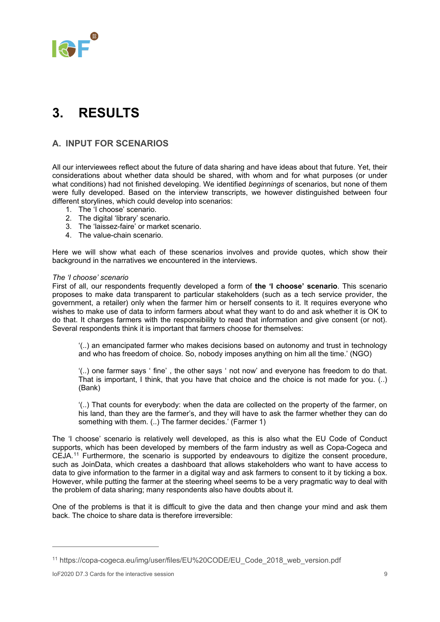

# <span id="page-8-0"></span>**3. RESULTS**

### <span id="page-8-1"></span>**A. INPUT FOR SCENARIOS**

All our interviewees reflect about the future of data sharing and have ideas about that future. Yet, their considerations about whether data should be shared, with whom and for what purposes (or under what conditions) had not finished developing. We identified *beginnings* of scenarios, but none of them were fully developed. Based on the interview transcripts, we however distinguished between four different storylines, which could develop into scenarios:

- 1. The 'I choose' scenario.
- 2. The digital 'library' scenario.
- 3. The 'laissez-faire' or market scenario.
- 4. The value-chain scenario.

Here we will show what each of these scenarios involves and provide quotes, which show their background in the narratives we encountered in the interviews.

#### *The 'I choose' scenario*

First of all, our respondents frequently developed a form of **the 'I choose' scenario**. This scenario proposes to make data transparent to particular stakeholders (such as a tech service provider, the government, a retailer) only when the farmer him or herself consents to it. It requires everyone who wishes to make use of data to inform farmers about what they want to do and ask whether it is OK to do that. It charges farmers with the responsibility to read that information and give consent (or not). Several respondents think it is important that farmers choose for themselves:

'(..) an emancipated farmer who makes decisions based on autonomy and trust in technology and who has freedom of choice. So, nobody imposes anything on him all the time.' (NGO)

'(..) one farmer says ' fine' , the other says ' not now' and everyone has freedom to do that. That is important, I think, that you have that choice and the choice is not made for you. (..) (Bank)

'(..) That counts for everybody: when the data are collected on the property of the farmer, on his land, than they are the farmer's, and they will have to ask the farmer whether they can do something with them. (..) The farmer decides.' (Farmer 1)

The 'I choose' scenario is relatively well developed, as this is also what the EU Code of Conduct supports, which has been developed by members of the farm industry as well as Copa-Cogeca and CEJA.[11](#page-8-2) Furthermore, the scenario is supported by endeavours to digitize the consent procedure, such as JoinData, which creates a dashboard that allows stakeholders who want to have access to data to give information to the farmer in a digital way and ask farmers to consent to it by ticking a box. However, while putting the farmer at the steering wheel seems to be a very pragmatic way to deal with the problem of data sharing; many respondents also have doubts about it.

One of the problems is that it is difficult to give the data and then change your mind and ask them back. The choice to share data is therefore irreversible:

-

<span id="page-8-2"></span><sup>11</sup> https://copa-cogeca.eu/img/user/files/EU%20CODE/EU\_Code\_2018\_web\_version.pdf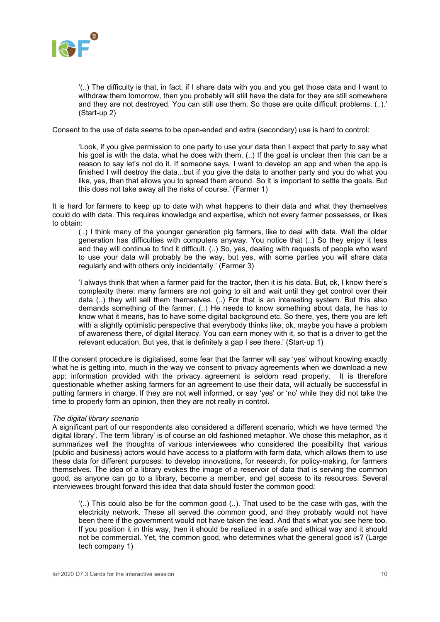

'(..) The difficulty is that, in fact, if I share data with you and you get those data and I want to withdraw them tomorrow, then you probably will still have the data for they are still somewhere and they are not destroyed. You can still use them. So those are quite difficult problems. (..).' (Start-up 2)

Consent to the use of data seems to be open-ended and extra (secondary) use is hard to control:

'Look, if you give permission to one party to use your data then I expect that party to say what his goal is with the data, what he does with them. (..) If the goal is unclear then this can be a reason to say let's not do it. If someone says, I want to develop an app and when the app is finished I will destroy the data...but if you give the data to another party and you do what you like, yes, than that allows you to spread them around. So it is important to settle the goals. But this does not take away all the risks of course.' (Farmer 1)

It is hard for farmers to keep up to date with what happens to their data and what they themselves could do with data. This requires knowledge and expertise, which not every farmer possesses, or likes to obtain:

(..) I think many of the younger generation pig farmers, like to deal with data. Well the older generation has difficulties with computers anyway. You notice that (..) So they enjoy it less and they will continue to find it difficult. (..) So, yes, dealing with requests of people who want to use your data will probably be the way, but yes, with some parties you will share data regularly and with others only incidentally.' (Farmer 3)

'I always think that when a farmer paid for the tractor, then it is his data. But, ok, I know there's complexity there: many farmers are not going to sit and wait until they get control over their data (..) they will sell them themselves. (..) For that is an interesting system. But this also demands something of the farmer. (..) He needs to know something about data, he has to know what it means, has to have some digital background etc. So there, yes, there you are left with a slightly optimistic perspective that everybody thinks like, ok, maybe you have a problem of awareness there, of digital literacy. You can earn money with it, so that is a driver to get the relevant education. But yes, that is definitely a gap I see there.' (Start-up 1)

If the consent procedure is digitalised, some fear that the farmer will say 'yes' without knowing exactly what he is getting into, much in the way we consent to privacy agreements when we download a new app: information provided with the privacy agreement is seldom read properly. It is therefore questionable whether asking farmers for an agreement to use their data, will actually be successful in putting farmers in charge. If they are not well informed, or say 'yes' or 'no' while they did not take the time to properly form an opinion, then they are not really in control.

#### *The digital library scenario*

A significant part of our respondents also considered a different scenario, which we have termed 'the digital library'. The term 'library' is of course an old fashioned metaphor. We chose this metaphor, as it summarizes well the thoughts of various interviewees who considered the possibility that various (public and business) actors would have access to a platform with farm data, which allows them to use these data for different purposes: to develop innovations, for research, for policy-making, for farmers themselves. The idea of a library evokes the image of a reservoir of data that is serving the common good, as anyone can go to a library, become a member, and get access to its resources. Several interviewees brought forward this idea that data should foster the common good:

 $($ ..) This could also be for the common good  $($ ..). That used to be the case with gas, with the electricity network. These all served the common good, and they probably would not have been there if the government would not have taken the lead. And that's what you see here too. If you position it in this way, then it should be realized in a safe and ethical way and it should not be commercial. Yet, the common good, who determines what the general good is? (Large tech company 1)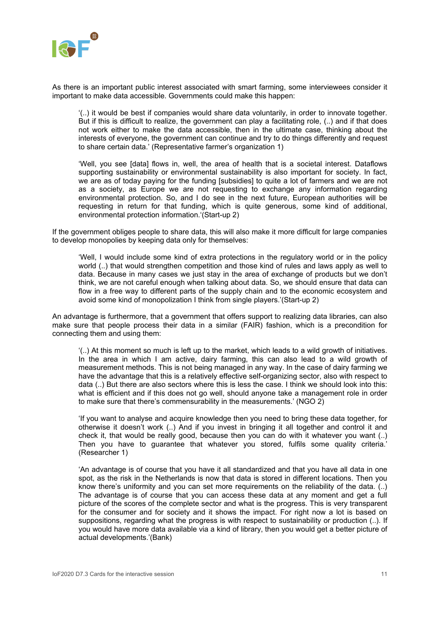

As there is an important public interest associated with smart farming, some interviewees consider it important to make data accessible. Governments could make this happen:

'(..) it would be best if companies would share data voluntarily, in order to innovate together. But if this is difficult to realize, the government can play a facilitating role, (..) and if that does not work either to make the data accessible, then in the ultimate case, thinking about the interests of everyone, the government can continue and try to do things differently and request to share certain data.' (Representative farmer's organization 1)

'Well, you see [data] flows in, well, the area of health that is a societal interest. Dataflows supporting sustainability or environmental sustainability is also important for society. In fact, we are as of today paying for the funding [subsidies] to quite a lot of farmers and we are not as a society, as Europe we are not requesting to exchange any information regarding environmental protection. So, and I do see in the next future, European authorities will be requesting in return for that funding, which is quite generous, some kind of additional, environmental protection information.'(Start-up 2)

If the government obliges people to share data, this will also make it more difficult for large companies to develop monopolies by keeping data only for themselves:

'Well, I would include some kind of extra protections in the regulatory world or in the policy world (..) that would strengthen competition and those kind of rules and laws apply as well to data. Because in many cases we just stay in the area of exchange of products but we don't think, we are not careful enough when talking about data. So, we should ensure that data can flow in a free way to different parts of the supply chain and to the economic ecosystem and avoid some kind of monopolization I think from single players.'(Start-up 2)

An advantage is furthermore, that a government that offers support to realizing data libraries, can also make sure that people process their data in a similar (FAIR) fashion, which is a precondition for connecting them and using them:

'(..) At this moment so much is left up to the market, which leads to a wild growth of initiatives. In the area in which I am active, dairy farming, this can also lead to a wild growth of measurement methods. This is not being managed in any way. In the case of dairy farming we have the advantage that this is a relatively effective self-organizing sector, also with respect to data (..) But there are also sectors where this is less the case. I think we should look into this: what is efficient and if this does not go well, should anyone take a management role in order to make sure that there's commensurability in the measurements.' (NGO 2)

'If you want to analyse and acquire knowledge then you need to bring these data together, for otherwise it doesn't work (..) And if you invest in bringing it all together and control it and check it, that would be really good, because then you can do with it whatever you want (..) Then you have to guarantee that whatever you stored, fulfils some quality criteria.' (Researcher 1)

'An advantage is of course that you have it all standardized and that you have all data in one spot, as the risk in the Netherlands is now that data is stored in different locations. Then you know there's uniformity and you can set more requirements on the reliability of the data. (..) The advantage is of course that you can access these data at any moment and get a full picture of the scores of the complete sector and what is the progress. This is very transparent for the consumer and for society and it shows the impact. For right now a lot is based on suppositions, regarding what the progress is with respect to sustainability or production (..). If you would have more data available via a kind of library, then you would get a better picture of actual developments.'(Bank)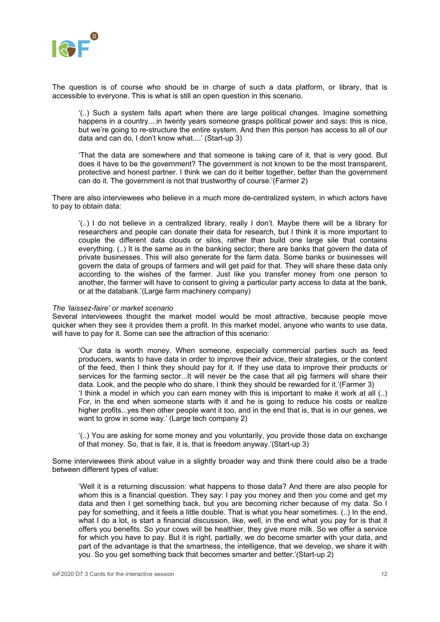

The question is of course who should be in charge of such a data platform, or library, that is accessible to everyone. This is what is still an open question in this scenario.

'(..) Such a system falls apart when there are large political changes. Imagine something happens in a country....in twenty years someone grasps political power and says: this is nice, but we're going to re-structure the entire system. And then this person has access to all of our data and can do, I don't know what....' (Start-up 3)

'That the data are somewhere and that someone is taking care of it, that is very good. But does it have to be the government? The government is not known to be the most transparent, protective and honest partner. I think we can do it better together, better than the government can do it. The government is not that trustworthy of course.'(Farmer 2)

There are also interviewees who believe in a much more de-centralized system, in which actors have to pay to obtain data:

'(..) I do not believe in a centralized library, really I don't. Maybe there will be a library for researchers and people can donate their data for research, but I think it is more important to couple the different data clouds or silos, rather than build one large sile that contains everything. (..) It is the same as in the banking sector; there are banks that govern the data of private businesses. This will also generate for the farm data. Some banks or businesses will govern the data of groups of farmers and will get paid for that. They will share these data only according to the wishes of the farmer. Just like you transfer money from one person to another, the farmer will have to consent to giving a particular party access to data at the bank, or at the databank.'(Large farm machinery company)

#### *The 'laissez-faire' or market scenario*

Several interviewees thought the market model would be most attractive, because people move quicker when they see it provides them a profit. In this market model, anyone who wants to use data, will have to pay for it. Some can see the attraction of this scenario:

'Our data is worth money. When someone, especially commercial parties such as feed producers, wants to have data in order to improve their advice, their strategies, or the content of the feed, then I think they should pay for it. If they use data to improve their products or services for the farming sector...It will never be the case that all pig farmers will share their data. Look, and the people who do share, I think they should be rewarded for it.'(Farmer 3) 'I think a model in which you can earn money with this is important to make it work at all (..) For, in the end when someone starts with it and he is going to reduce his costs or realize higher profits...yes then other people want it too, and in the end that is, that is in our genes, we want to grow in some way.' (Large tech company 2)

'(..) You are asking for some money and you voluntarily, you provide those data on exchange of that money. So, that is fair, it is, that is freedom anyway.'(Start-up 3)

Some interviewees think about value in a slightly broader way and think there could also be a trade between different types of value:

'Well it is a returning discussion: what happens to those data? And there are also people for whom this is a financial question. They say: I pay you money and then you come and get my data and then I get something back, but you are becoming richer because of my data. So I pay for something, and it feels a little double. That is what you hear sometimes. (..) In the end, what I do a lot, is start a financial discussion, like, well, in the end what you pay for is that it offers you benefits. So your cows will be healthier, they give more milk. So we offer a service for which you have to pay. But it is right, partially, we do become smarter with your data, and part of the advantage is that the smartness, the intelligence, that we develop, we share it with you. So you get something back that becomes smarter and better.'(Start-up 2)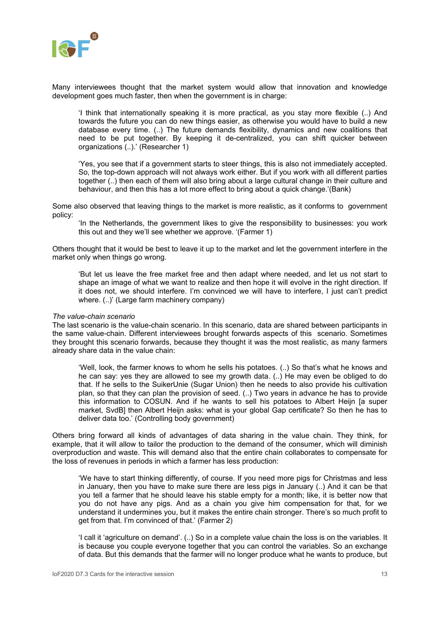

Many interviewees thought that the market system would allow that innovation and knowledge development goes much faster, then when the government is in charge:

'I think that internationally speaking it is more practical, as you stay more flexible (..) And towards the future you can do new things easier, as otherwise you would have to build a new database every time. (..) The future demands flexibility, dynamics and new coalitions that need to be put together. By keeping it de-centralized, you can shift quicker between organizations (..).' (Researcher 1)

'Yes, you see that if a government starts to steer things, this is also not immediately accepted. So, the top-down approach will not always work either. But if you work with all different parties together (..) then each of them will also bring about a large cultural change in their culture and behaviour, and then this has a lot more effect to bring about a quick change.'(Bank)

Some also observed that leaving things to the market is more realistic, as it conforms to government policy:

'In the Netherlands, the government likes to give the responsibility to businesses: you work this out and they we'll see whether we approve. '(Farmer 1)

Others thought that it would be best to leave it up to the market and let the government interfere in the market only when things go wrong.

'But let us leave the free market free and then adapt where needed, and let us not start to shape an image of what we want to realize and then hope it will evolve in the right direction. If it does not, we should interfere. I'm convinced we will have to interfere, I just can't predict where. (..)' (Large farm machinery company)

#### *The value-chain scenario*

The last scenario is the value-chain scenario. In this scenario, data are shared between participants in the same value-chain. Different interviewees brought forwards aspects of this scenario. Sometimes they brought this scenario forwards, because they thought it was the most realistic, as many farmers already share data in the value chain:

'Well, look, the farmer knows to whom he sells his potatoes. (..) So that's what he knows and he can say: yes they are allowed to see my growth data. (..) He may even be obliged to do that. If he sells to the SuikerUnie (Sugar Union) then he needs to also provide his cultivation plan, so that they can plan the provision of seed. (..) Two years in advance he has to provide this information to COSUN. And if he wants to sell his potatoes to Albert Heijn [a super market, SvdB] then Albert Heijn asks: what is your global Gap certificate? So then he has to deliver data too.' (Controlling body government)

Others bring forward all kinds of advantages of data sharing in the value chain. They think, for example, that it will allow to tailor the production to the demand of the consumer, which will diminish overproduction and waste. This will demand also that the entire chain collaborates to compensate for the loss of revenues in periods in which a farmer has less production:

'We have to start thinking differently, of course. If you need more pigs for Christmas and less in January, then you have to make sure there are less pigs in January (..) And it can be that you tell a farmer that he should leave his stable empty for a month; like, it is better now that you do not have any pigs. And as a chain you give him compensation for that, for we understand it undermines you, but it makes the entire chain stronger. There's so much profit to get from that. I'm convinced of that.' (Farmer 2)

'I call it 'agriculture on demand'. (..) So in a complete value chain the loss is on the variables. It is because you couple everyone together that you can control the variables. So an exchange of data. But this demands that the farmer will no longer produce what he wants to produce, but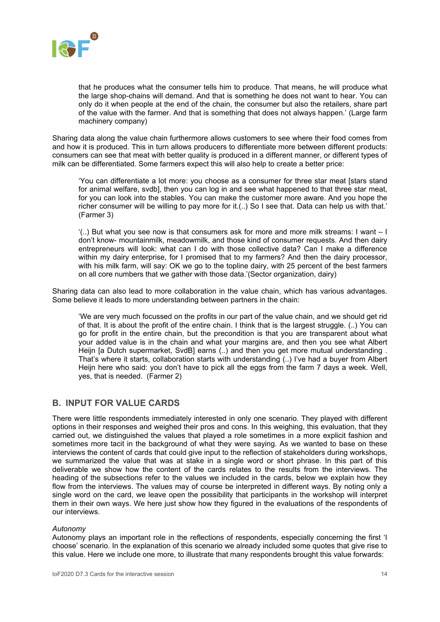

that he produces what the consumer tells him to produce. That means, he will produce what the large shop-chains will demand. And that is something he does not want to hear. You can only do it when people at the end of the chain, the consumer but also the retailers, share part of the value with the farmer. And that is something that does not always happen.' (Large farm machinery company)

Sharing data along the value chain furthermore allows customers to see where their food comes from and how it is produced. This in turn allows producers to differentiate more between different products: consumers can see that meat with better quality is produced in a different manner, or different types of milk can be differentiated. Some farmers expect this will also help to create a better price:

'You can differentiate a lot more: you choose as a consumer for three star meat [stars stand for animal welfare, svdb], then you can log in and see what happened to that three star meat, for you can look into the stables. You can make the customer more aware. And you hope the richer consumer will be willing to pay more for it.(..) So I see that. Data can help us with that.' (Farmer 3)

'(..) But what you see now is that consumers ask for more and more milk streams: I want – I don't know- mountainmilk, meadowmilk, and those kind of consumer requests. And then dairy entrepreneurs will look: what can I do with those collective data? Can I make a difference within my dairy enterprise, for I promised that to my farmers? And then the dairy processor, with his milk farm, will say: OK we go to the topline dairy, with 25 percent of the best farmers on all core numbers that we gather with those data.'(Sector organization, dairy)

Sharing data can also lead to more collaboration in the value chain, which has various advantages. Some believe it leads to more understanding between partners in the chain:

'We are very much focussed on the profits in our part of the value chain, and we should get rid of that. It is about the profit of the entire chain. I think that is the largest struggle. (..) You can go for profit in the entire chain, but the precondition is that you are transparent about what your added value is in the chain and what your margins are, and then you see what Albert Heijn [a Dutch supermarket, SvdB] earns (..) and then you get more mutual understanding . That's where it starts, collaboration starts with understanding (..) I've had a buyer from Albert Heijn here who said: you don't have to pick all the eggs from the farm 7 days a week. Well, yes, that is needed. (Farmer 2)

### <span id="page-13-0"></span>**B. INPUT FOR VALUE CARDS**

There were little respondents immediately interested in only one scenario. They played with different options in their responses and weighed their pros and cons. In this weighing, this evaluation, that they carried out, we distinguished the values that played a role sometimes in a more explicit fashion and sometimes more tacit in the background of what they were saying. As we wanted to base on these interviews the content of cards that could give input to the reflection of stakeholders during workshops, we summarized the value that was at stake in a single word or short phrase. In this part of this deliverable we show how the content of the cards relates to the results from the interviews. The heading of the subsections refer to the values we included in the cards, below we explain how they flow from the interviews. The values may of course be interpreted in different ways. By noting only a single word on the card, we leave open the possibility that participants in the workshop will interpret them in their own ways. We here just show how they figured in the evaluations of the respondents of our interviews.

#### *Autonomy*

Autonomy plays an important role in the reflections of respondents, especially concerning the first 'I choose' scenario. In the explanation of this scenario we already included some quotes that give rise to this value. Here we include one more, to illustrate that many respondents brought this value forwards: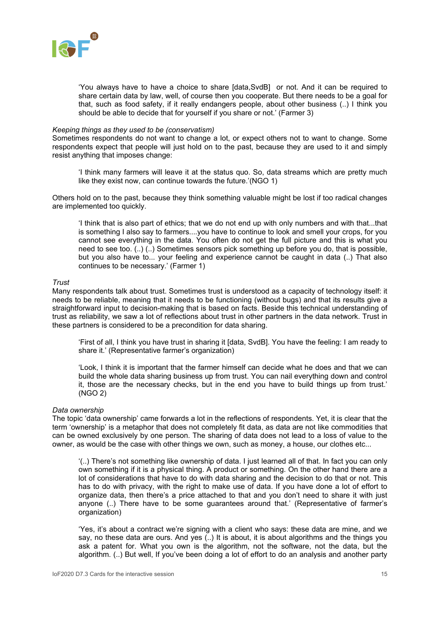

'You always have to have a choice to share [data,SvdB] or not. And it can be required to share certain data by law, well, of course then you cooperate. But there needs to be a goal for that, such as food safety, if it really endangers people, about other business (..) I think you should be able to decide that for yourself if you share or not.' (Farmer 3)

#### *Keeping things as they used to be (conservatism)*

Sometimes respondents do not want to change a lot, or expect others not to want to change. Some respondents expect that people will just hold on to the past, because they are used to it and simply resist anything that imposes change:

'I think many farmers will leave it at the status quo. So, data streams which are pretty much like they exist now, can continue towards the future.'(NGO 1)

Others hold on to the past, because they think something valuable might be lost if too radical changes are implemented too quickly.

'I think that is also part of ethics; that we do not end up with only numbers and with that...that is something I also say to farmers....you have to continue to look and smell your crops, for you cannot see everything in the data. You often do not get the full picture and this is what you need to see too. (..) (..) Sometimes sensors pick something up before you do, that is possible, but you also have to... your feeling and experience cannot be caught in data (..) That also continues to be necessary.' (Farmer 1)

#### *Trust*

Many respondents talk about trust. Sometimes trust is understood as a capacity of technology itself: it needs to be reliable, meaning that it needs to be functioning (without bugs) and that its results give a straightforward input to decision-making that is based on facts. Beside this technical understanding of trust as reliability, we saw a lot of reflections about trust in other partners in the data network. Trust in these partners is considered to be a precondition for data sharing.

'First of all, I think you have trust in sharing it [data, SvdB]. You have the feeling: I am ready to share it.' (Representative farmer's organization)

'Look, I think it is important that the farmer himself can decide what he does and that we can build the whole data sharing business up from trust. You can nail everything down and control it, those are the necessary checks, but in the end you have to build things up from trust.' (NGO 2)

#### *Data ownership*

The topic 'data ownership' came forwards a lot in the reflections of respondents. Yet, it is clear that the term 'ownership' is a metaphor that does not completely fit data, as data are not like commodities that can be owned exclusively by one person. The sharing of data does not lead to a loss of value to the owner, as would be the case with other things we own, such as money, a house, our clothes etc...

'(..) There's not something like ownership of data. I just learned all of that. In fact you can only own something if it is a physical thing. A product or something. On the other hand there are a lot of considerations that have to do with data sharing and the decision to do that or not. This has to do with privacy, with the right to make use of data. If you have done a lot of effort to organize data, then there's a price attached to that and you don't need to share it with just anyone (..) There have to be some guarantees around that.' (Representative of farmer's organization)

'Yes, it's about a contract we're signing with a client who says: these data are mine, and we say, no these data are ours. And yes (..) It is about, it is about algorithms and the things you ask a patent for. What you own is the algorithm, not the software, not the data, but the algorithm. (..) But well, If you've been doing a lot of effort to do an analysis and another party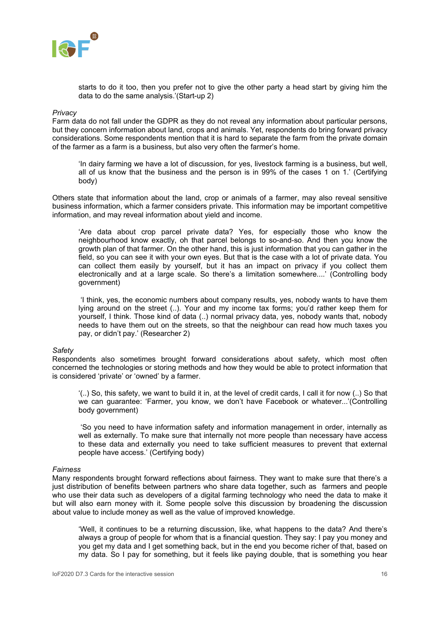

starts to do it too, then you prefer not to give the other party a head start by giving him the data to do the same analysis.'(Start-up 2)

#### *Privacy*

Farm data do not fall under the GDPR as they do not reveal any information about particular persons, but they concern information about land, crops and animals. Yet, respondents do bring forward privacy considerations. Some respondents mention that it is hard to separate the farm from the private domain of the farmer as a farm is a business, but also very often the farmer's home.

'In dairy farming we have a lot of discussion, for yes, livestock farming is a business, but well, all of us know that the business and the person is in 99% of the cases 1 on 1.' (Certifying body)

Others state that information about the land, crop or animals of a farmer, may also reveal sensitive business information, which a farmer considers private. This information may be important competitive information, and may reveal information about yield and income.

'Are data about crop parcel private data? Yes, for especially those who know the neighbourhood know exactly, oh that parcel belongs to so-and-so. And then you know the growth plan of that farmer. On the other hand, this is just information that you can gather in the field, so you can see it with your own eyes. But that is the case with a lot of private data. You can collect them easily by yourself, but it has an impact on privacy if you collect them electronically and at a large scale. So there's a limitation somewhere....' (Controlling body government)

'I think, yes, the economic numbers about company results, yes, nobody wants to have them lying around on the street (..). Your and my income tax forms; you'd rather keep them for yourself, I think. Those kind of data (..) normal privacy data, yes, nobody wants that, nobody needs to have them out on the streets, so that the neighbour can read how much taxes you pay, or didn't pay.' (Researcher 2)

#### *Safety*

Respondents also sometimes brought forward considerations about safety, which most often concerned the technologies or storing methods and how they would be able to protect information that is considered 'private' or 'owned' by a farmer.

'(..) So, this safety, we want to build it in, at the level of credit cards, I call it for now (..) So that we can guarantee: 'Farmer, you know, we don't have Facebook or whatever...'(Controlling body government)

'So you need to have information safety and information management in order, internally as well as externally. To make sure that internally not more people than necessary have access to these data and externally you need to take sufficient measures to prevent that external people have access.' (Certifying body)

#### *Fairness*

Many respondents brought forward reflections about fairness. They want to make sure that there's a just distribution of benefits between partners who share data together, such as farmers and people who use their data such as developers of a digital farming technology who need the data to make it but will also earn money with it. Some people solve this discussion by broadening the discussion about value to include money as well as the value of improved knowledge.

'Well, it continues to be a returning discussion, like, what happens to the data? And there's always a group of people for whom that is a financial question. They say: I pay you money and you get my data and I get something back, but in the end you become richer of that, based on my data. So I pay for something, but it feels like paying double, that is something you hear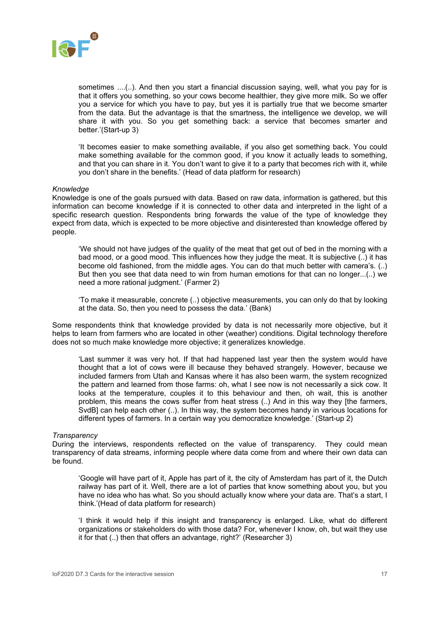

sometimes ....(..). And then you start a financial discussion saying, well, what you pay for is that it offers you something, so your cows become healthier, they give more milk. So we offer you a service for which you have to pay, but yes it is partially true that we become smarter from the data. But the advantage is that the smartness, the intelligence we develop, we will share it with you. So you get something back: a service that becomes smarter and better.'(Start-up 3)

'It becomes easier to make something available, if you also get something back. You could make something available for the common good, if you know it actually leads to something, and that you can share in it. You don't want to give it to a party that becomes rich with it, while you don't share in the benefits.' (Head of data platform for research)

#### *Knowledge*

Knowledge is one of the goals pursued with data. Based on raw data, information is gathered, but this information can become knowledge if it is connected to other data and interpreted in the light of a specific research question. Respondents bring forwards the value of the type of knowledge they expect from data, which is expected to be more objective and disinterested than knowledge offered by people.

'We should not have judges of the quality of the meat that get out of bed in the morning with a bad mood, or a good mood. This influences how they judge the meat. It is subjective (..) it has become old fashioned, from the middle ages. You can do that much better with camera's. (..) But then you see that data need to win from human emotions for that can no longer...(..) we need a more rational judgment.' (Farmer 2)

'To make it measurable, concrete (..) objective measurements, you can only do that by looking at the data. So, then you need to possess the data.' (Bank)

Some respondents think that knowledge provided by data is not necessarily more objective, but it helps to learn from farmers who are located in other (weather) conditions. Digital technology therefore does not so much make knowledge more objective; it generalizes knowledge.

'Last summer it was very hot. If that had happened last year then the system would have thought that a lot of cows were ill because they behaved strangely. However, because we included farmers from Utah and Kansas where it has also been warm, the system recognized the pattern and learned from those farms: oh, what I see now is not necessarily a sick cow. It looks at the temperature, couples it to this behaviour and then, oh wait, this is another problem, this means the cows suffer from heat stress (..) And in this way they [the farmers, SvdB] can help each other (..). In this way, the system becomes handy in various locations for different types of farmers. In a certain way you democratize knowledge.' (Start-up 2)

#### *Transparency*

During the interviews, respondents reflected on the value of transparency. They could mean transparency of data streams, informing people where data come from and where their own data can be found.

'Google will have part of it, Apple has part of it, the city of Amsterdam has part of it, the Dutch railway has part of it. Well, there are a lot of parties that know something about you, but you have no idea who has what. So you should actually know where your data are. That's a start, I think.'(Head of data platform for research)

'I think it would help if this insight and transparency is enlarged. Like, what do different organizations or stakeholders do with those data? For, whenever I know, oh, but wait they use it for that (..) then that offers an advantage, right?' (Researcher 3)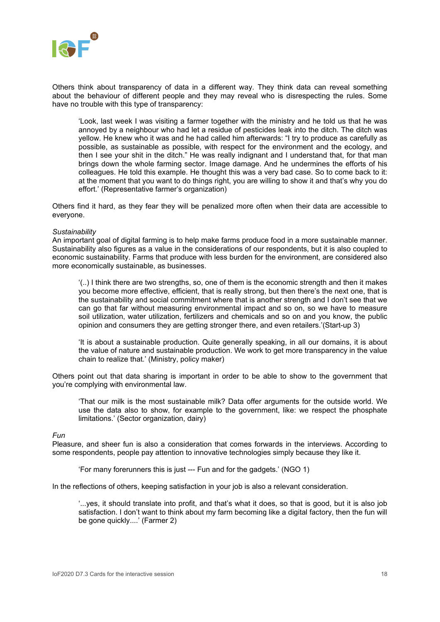

Others think about transparency of data in a different way. They think data can reveal something about the behaviour of different people and they may reveal who is disrespecting the rules. Some have no trouble with this type of transparency:

'Look, last week I was visiting a farmer together with the ministry and he told us that he was annoyed by a neighbour who had let a residue of pesticides leak into the ditch. The ditch was yellow. He knew who it was and he had called him afterwards: "I try to produce as carefully as possible, as sustainable as possible, with respect for the environment and the ecology, and then I see your shit in the ditch." He was really indignant and I understand that, for that man brings down the whole farming sector. Image damage. And he undermines the efforts of his colleagues. He told this example. He thought this was a very bad case. So to come back to it: at the moment that you want to do things right, you are willing to show it and that's why you do effort.' (Representative farmer's organization)

Others find it hard, as they fear they will be penalized more often when their data are accessible to everyone.

#### *Sustainability*

An important goal of digital farming is to help make farms produce food in a more sustainable manner. Sustainability also figures as a value in the considerations of our respondents, but it is also coupled to economic sustainability. Farms that produce with less burden for the environment, are considered also more economically sustainable, as businesses.

'(..) I think there are two strengths, so, one of them is the economic strength and then it makes you become more effective, efficient, that is really strong, but then there's the next one, that is the sustainability and social commitment where that is another strength and I don't see that we can go that far without measuring environmental impact and so on, so we have to measure soil utilization, water utilization, fertilizers and chemicals and so on and you know, the public opinion and consumers they are getting stronger there, and even retailers.'(Start-up 3)

'It is about a sustainable production. Quite generally speaking, in all our domains, it is about the value of nature and sustainable production. We work to get more transparency in the value chain to realize that.' (Ministry, policy maker)

Others point out that data sharing is important in order to be able to show to the government that you're complying with environmental law.

'That our milk is the most sustainable milk? Data offer arguments for the outside world. We use the data also to show, for example to the government, like: we respect the phosphate limitations.' (Sector organization, dairy)

*Fun*

Pleasure, and sheer fun is also a consideration that comes forwards in the interviews. According to some respondents, people pay attention to innovative technologies simply because they like it.

'For many forerunners this is just --- Fun and for the gadgets.' (NGO 1)

In the reflections of others, keeping satisfaction in your job is also a relevant consideration.

'...yes, it should translate into profit, and that's what it does, so that is good, but it is also job satisfaction. I don't want to think about my farm becoming like a digital factory, then the fun will be gone quickly....' (Farmer 2)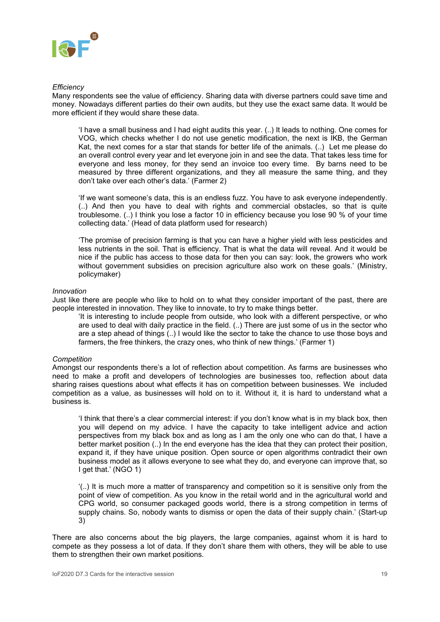

#### *Efficiency*

Many respondents see the value of efficiency. Sharing data with diverse partners could save time and money. Nowadays different parties do their own audits, but they use the exact same data. It would be more efficient if they would share these data.

'I have a small business and I had eight audits this year. (..) It leads to nothing. One comes for VOG, which checks whether I do not use genetic modification, the next is IKB, the German Kat, the next comes for a star that stands for better life of the animals. (..) Let me please do an overall control every year and let everyone join in and see the data. That takes less time for everyone and less money, for they send an invoice too every time. By barns need to be measured by three different organizations, and they all measure the same thing, and they don't take over each other's data.' (Farmer 2)

'If we want someone's data, this is an endless fuzz. You have to ask everyone independently. (..) And then you have to deal with rights and commercial obstacles, so that is quite troublesome. (..) I think you lose a factor 10 in efficiency because you lose 90 % of your time collecting data.' (Head of data platform used for research)

'The promise of precision farming is that you can have a higher yield with less pesticides and less nutrients in the soil. That is efficiency. That is what the data will reveal. And it would be nice if the public has access to those data for then you can say: look, the growers who work without government subsidies on precision agriculture also work on these goals.' (Ministry, policymaker)

#### *Innovation*

Just like there are people who like to hold on to what they consider important of the past, there are people interested in innovation. They like to innovate, to try to make things better.

'It is interesting to include people from outside, who look with a different perspective, or who are used to deal with daily practice in the field. (..) There are just some of us in the sector who are a step ahead of things (..) I would like the sector to take the chance to use those boys and farmers, the free thinkers, the crazy ones, who think of new things.' (Farmer 1)

#### *Competition*

Amongst our respondents there's a lot of reflection about competition. As farms are businesses who need to make a profit and developers of technologies are businesses too, reflection about data sharing raises questions about what effects it has on competition between businesses. We included competition as a value, as businesses will hold on to it. Without it, it is hard to understand what a business is.

'I think that there's a clear commercial interest: if you don't know what is in my black box, then you will depend on my advice. I have the capacity to take intelligent advice and action perspectives from my black box and as long as I am the only one who can do that, I have a better market position (..) In the end everyone has the idea that they can protect their position, expand it, if they have unique position. Open source or open algorithms contradict their own business model as it allows everyone to see what they do, and everyone can improve that, so I get that.' (NGO 1)

'(..) It is much more a matter of transparency and competition so it is sensitive only from the point of view of competition. As you know in the retail world and in the agricultural world and CPG world, so consumer packaged goods world, there is a strong competition in terms of supply chains. So, nobody wants to dismiss or open the data of their supply chain.' (Start-up 3)

There are also concerns about the big players, the large companies, against whom it is hard to compete as they possess a lot of data. If they don't share them with others, they will be able to use them to strengthen their own market positions.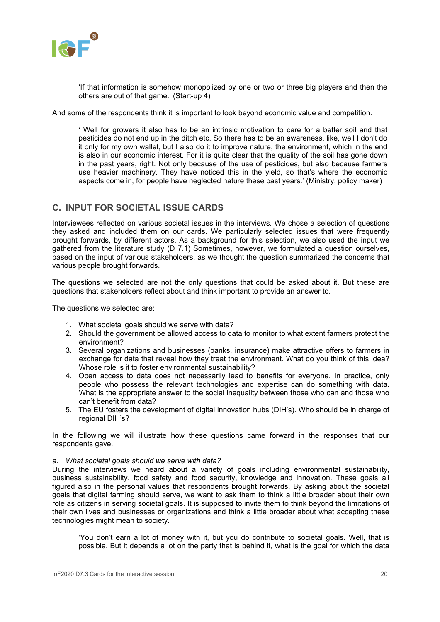

'If that information is somehow monopolized by one or two or three big players and then the others are out of that game.' (Start-up 4)

And some of the respondents think it is important to look beyond economic value and competition.

' Well for growers it also has to be an intrinsic motivation to care for a better soil and that pesticides do not end up in the ditch etc. So there has to be an awareness, like, well I don't do it only for my own wallet, but I also do it to improve nature, the environment, which in the end is also in our economic interest. For it is quite clear that the quality of the soil has gone down in the past years, right. Not only because of the use of pesticides, but also because farmers use heavier machinery. They have noticed this in the yield, so that's where the economic aspects come in, for people have neglected nature these past years.' (Ministry, policy maker)

### <span id="page-19-0"></span>**C. INPUT FOR SOCIETAL ISSUE CARDS**

Interviewees reflected on various societal issues in the interviews. We chose a selection of questions they asked and included them on our cards. We particularly selected issues that were frequently brought forwards, by different actors. As a background for this selection, we also used the input we gathered from the literature study (D 7.1) Sometimes, however, we formulated a question ourselves, based on the input of various stakeholders, as we thought the question summarized the concerns that various people brought forwards.

The questions we selected are not the only questions that could be asked about it. But these are questions that stakeholders reflect about and think important to provide an answer to.

The questions we selected are:

- 1. What societal goals should we serve with data?
- 2. Should the government be allowed access to data to monitor to what extent farmers protect the environment?
- 3. Several organizations and businesses (banks, insurance) make attractive offers to farmers in exchange for data that reveal how they treat the environment. What do you think of this idea? Whose role is it to foster environmental sustainability?
- 4. Open access to data does not necessarily lead to benefits for everyone. In practice, only people who possess the relevant technologies and expertise can do something with data. What is the appropriate answer to the social inequality between those who can and those who can't benefit from data?
- 5. The EU fosters the development of digital innovation hubs (DIH's). Who should be in charge of regional DIH's?

In the following we will illustrate how these questions came forward in the responses that our respondents gave.

#### *a. What societal goals should we serve with data?*

During the interviews we heard about a variety of goals including environmental sustainability, business sustainability, food safety and food security, knowledge and innovation. These goals all figured also in the personal values that respondents brought forwards. By asking about the societal goals that digital farming should serve, we want to ask them to think a little broader about their own role as citizens in serving societal goals. It is supposed to invite them to think beyond the limitations of their own lives and businesses or organizations and think a little broader about what accepting these technologies might mean to society.

'You don't earn a lot of money with it, but you do contribute to societal goals. Well, that is possible. But it depends a lot on the party that is behind it, what is the goal for which the data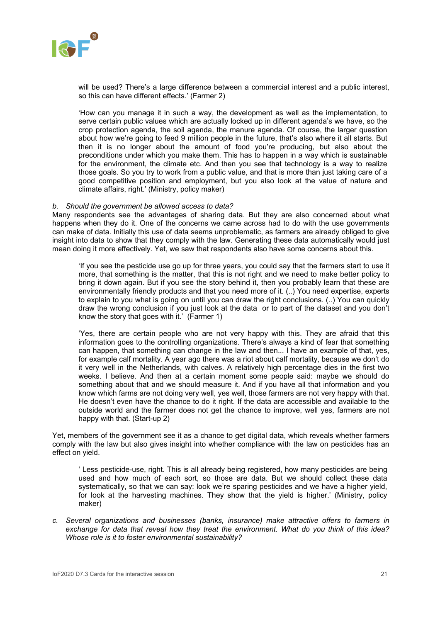

will be used? There's a large difference between a commercial interest and a public interest, so this can have different effects.' (Farmer 2)

'How can you manage it in such a way, the development as well as the implementation, to serve certain public values which are actually locked up in different agenda's we have, so the crop protection agenda, the soil agenda, the manure agenda. Of course, the larger question about how we're going to feed 9 million people in the future, that's also where it all starts. But then it is no longer about the amount of food you're producing, but also about the preconditions under which you make them. This has to happen in a way which is sustainable for the environment, the climate etc. And then you see that technology is a way to realize those goals. So you try to work from a public value, and that is more than just taking care of a good competitive position and employment, but you also look at the value of nature and climate affairs, right.' (Ministry, policy maker)

#### *b. Should the government be allowed access to data?*

Many respondents see the advantages of sharing data. But they are also concerned about what happens when they do it. One of the concerns we came across had to do with the use governments can make of data. Initially this use of data seems unproblematic, as farmers are already obliged to give insight into data to show that they comply with the law. Generating these data automatically would just mean doing it more effectively. Yet, we saw that respondents also have some concerns about this.

'If you see the pesticide use go up for three years, you could say that the farmers start to use it more, that something is the matter, that this is not right and we need to make better policy to bring it down again. But if you see the story behind it, then you probably learn that these are environmentally friendly products and that you need more of it. (..) You need expertise, experts to explain to you what is going on until you can draw the right conclusions. (..) You can quickly draw the wrong conclusion if you just look at the data or to part of the dataset and you don't know the story that goes with it.' (Farmer 1)

'Yes, there are certain people who are not very happy with this. They are afraid that this information goes to the controlling organizations. There's always a kind of fear that something can happen, that something can change in the law and then... I have an example of that, yes, for example calf mortality. A year ago there was a riot about calf mortality, because we don't do it very well in the Netherlands, with calves. A relatively high percentage dies in the first two weeks. I believe. And then at a certain moment some people said: maybe we should do something about that and we should measure it. And if you have all that information and you know which farms are not doing very well, yes well, those farmers are not very happy with that. He doesn't even have the chance to do it right. If the data are accessible and available to the outside world and the farmer does not get the chance to improve, well yes, farmers are not happy with that. (Start-up 2)

Yet, members of the government see it as a chance to get digital data, which reveals whether farmers comply with the law but also gives insight into whether compliance with the law on pesticides has an effect on yield.

' Less pesticide-use, right. This is all already being registered, how many pesticides are being used and how much of each sort, so those are data. But we should collect these data systematically, so that we can say: look we're sparing pesticides and we have a higher yield, for look at the harvesting machines. They show that the yield is higher.' (Ministry, policy maker)

*c. Several organizations and businesses (banks, insurance) make attractive offers to farmers in exchange for data that reveal how they treat the environment. What do you think of this idea? Whose role is it to foster environmental sustainability?*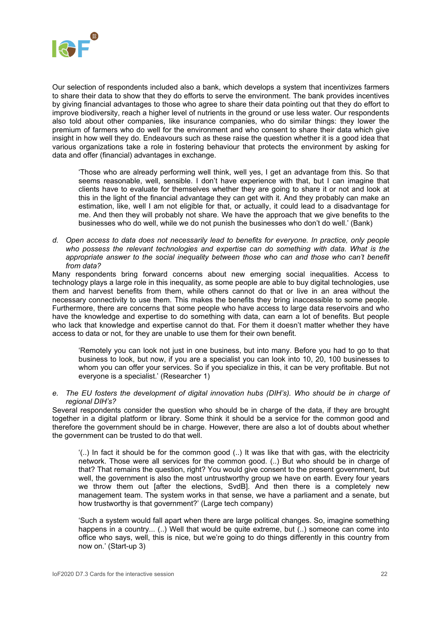

Our selection of respondents included also a bank, which develops a system that incentivizes farmers to share their data to show that they do efforts to serve the environment. The bank provides incentives by giving financial advantages to those who agree to share their data pointing out that they do effort to improve biodiversity, reach a higher level of nutrients in the ground or use less water. Our respondents also told about other companies, like insurance companies, who do similar things: they lower the premium of farmers who do well for the environment and who consent to share their data which give insight in how well they do. Endeavours such as these raise the question whether it is a good idea that various organizations take a role in fostering behaviour that protects the environment by asking for data and offer (financial) advantages in exchange.

'Those who are already performing well think, well yes, I get an advantage from this. So that seems reasonable, well, sensible. I don't have experience with that, but I can imagine that clients have to evaluate for themselves whether they are going to share it or not and look at this in the light of the financial advantage they can get with it. And they probably can make an estimation, like, well I am not eligible for that, or actually, it could lead to a disadvantage for me. And then they will probably not share. We have the approach that we give benefits to the businesses who do well, while we do not punish the businesses who don't do well.' (Bank)

*d. Open access to data does not necessarily lead to benefits for everyone. In practice, only people*  who possess the relevant technologies and expertise can do something with data. What is the appropriate answer to the social inequality between those who can and those who can't benefit *from data?*

Many respondents bring forward concerns about new emerging social inequalities. Access to technology plays a large role in this inequality, as some people are able to buy digital technologies, use them and harvest benefits from them, while others cannot do that or live in an area without the necessary connectivity to use them. This makes the benefits they bring inaccessible to some people. Furthermore, there are concerns that some people who have access to large data reservoirs and who have the knowledge and expertise to do something with data, can earn a lot of benefits. But people who lack that knowledge and expertise cannot do that. For them it doesn't matter whether they have access to data or not, for they are unable to use them for their own benefit.

'Remotely you can look not just in one business, but into many. Before you had to go to that business to look, but now, if you are a specialist you can look into 10, 20, 100 businesses to whom you can offer your services. So if you specialize in this, it can be very profitable. But not everyone is a specialist.' (Researcher 1)

*e. The EU fosters the development of digital innovation hubs (DIH's). Who should be in charge of regional DIH's?* 

Several respondents consider the question who should be in charge of the data, if they are brought together in a digital platform or library. Some think it should be a service for the common good and therefore the government should be in charge. However, there are also a lot of doubts about whether the government can be trusted to do that well.

'(..) In fact it should be for the common good (..) It was like that with gas, with the electricity network. Those were all services for the common good. (..) But who should be in charge of that? That remains the question, right? You would give consent to the present government, but well, the government is also the most untrustworthy group we have on earth. Every four years we throw them out [after the elections, SvdB]. And then there is a completely new management team. The system works in that sense, we have a parliament and a senate, but how trustworthy is that government?' (Large tech company)

'Such a system would fall apart when there are large political changes. So, imagine something happens in a country... (..) Well that would be quite extreme, but (..) someone can come into office who says, well, this is nice, but we're going to do things differently in this country from now on.' (Start-up 3)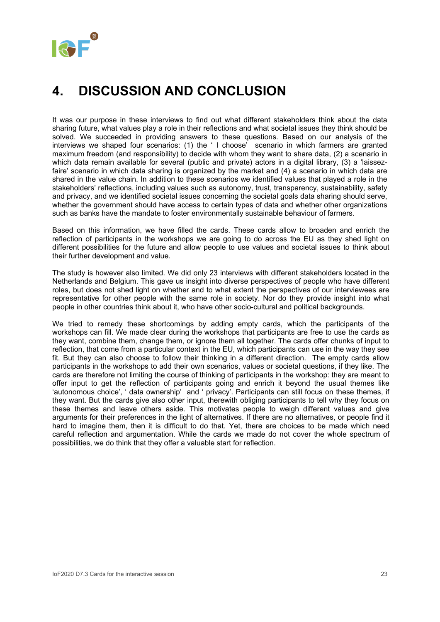# <span id="page-22-0"></span>**4. DISCUSSION AND CONCLUSION**

It was our purpose in these interviews to find out what different stakeholders think about the data sharing future, what values play a role in their reflections and what societal issues they think should be solved. We succeeded in providing answers to these questions. Based on our analysis of the interviews we shaped four scenarios: (1) the ' I choose' scenario in which farmers are granted maximum freedom (and responsibility) to decide with whom they want to share data, (2) a scenario in which data remain available for several (public and private) actors in a digital library, (3) a 'laissezfaire' scenario in which data sharing is organized by the market and (4) a scenario in which data are shared in the value chain. In addition to these scenarios we identified values that played a role in the stakeholders' reflections, including values such as autonomy, trust, transparency, sustainability, safety and privacy, and we identified societal issues concerning the societal goals data sharing should serve, whether the government should have access to certain types of data and whether other organizations such as banks have the mandate to foster environmentally sustainable behaviour of farmers.

Based on this information, we have filled the cards. These cards allow to broaden and enrich the reflection of participants in the workshops we are going to do across the EU as they shed light on different possibilities for the future and allow people to use values and societal issues to think about their further development and value.

The study is however also limited. We did only 23 interviews with different stakeholders located in the Netherlands and Belgium. This gave us insight into diverse perspectives of people who have different roles, but does not shed light on whether and to what extent the perspectives of our interviewees are representative for other people with the same role in society. Nor do they provide insight into what people in other countries think about it, who have other socio-cultural and political backgrounds.

We tried to remedy these shortcomings by adding empty cards, which the participants of the workshops can fill. We made clear during the workshops that participants are free to use the cards as they want, combine them, change them, or ignore them all together. The cards offer chunks of input to reflection, that come from a particular context in the EU, which participants can use in the way they see fit. But they can also choose to follow their thinking in a different direction. The empty cards allow participants in the workshops to add their own scenarios, values or societal questions, if they like. The cards are therefore not limiting the course of thinking of participants in the workshop: they are meant to offer input to get the reflection of participants going and enrich it beyond the usual themes like 'autonomous choice', ' data ownership' and ' privacy'. Participants can still focus on these themes, if they want. But the cards give also other input, therewith obliging participants to tell why they focus on these themes and leave others aside. This motivates people to weigh different values and give arguments for their preferences in the light of alternatives. If there are no alternatives, or people find it hard to imagine them, then it is difficult to do that. Yet, there are choices to be made which need careful reflection and argumentation. While the cards we made do not cover the whole spectrum of possibilities, we do think that they offer a valuable start for reflection.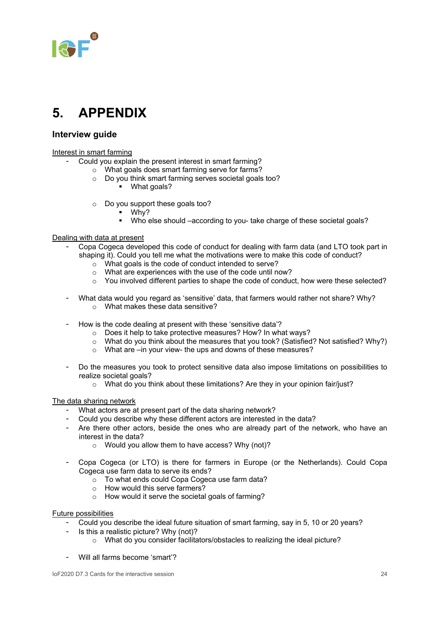

### <span id="page-23-0"></span>**5. APPENDIX**

### **Interview guide**

Interest in smart farming

- Could you explain the present interest in smart farming?
	- o What goals does smart farming serve for farms?
		- o Do you think smart farming serves societal goals too?
			- What goals?
		- o Do you support these goals too?
			- Why?
			- Who else should –according to you- take charge of these societal goals?

#### Dealing with data at present

- Copa Cogeca developed this code of conduct for dealing with farm data (and LTO took part in shaping it). Could you tell me what the motivations were to make this code of conduct?
	- $\sim$  What goals is the code of conduct intended to serve?
	- $\circ$  What are experiences with the use of the code until now?
	- $\circ$  You involved different parties to shape the code of conduct, how were these selected?
- What data would you regard as 'sensitive' data, that farmers would rather not share? Why? o What makes these data sensitive?
- How is the code dealing at present with these 'sensitive data'?
	- o Does it help to take protective measures? How? In what ways?
	- o What do you think about the measures that you took? (Satisfied? Not satisfied? Why?)
	- o What are –in your view- the ups and downs of these measures?
- Do the measures you took to protect sensitive data also impose limitations on possibilities to realize societal goals?
	- o What do you think about these limitations? Are they in your opinion fair/just?

#### The data sharing network

- What actors are at present part of the data sharing network?
- Could you describe why these different actors are interested in the data?
- Are there other actors, beside the ones who are already part of the network, who have an interest in the data?
	- o Would you allow them to have access? Why (not)?
- Copa Cogeca (or LTO) is there for farmers in Europe (or the Netherlands). Could Copa Cogeca use farm data to serve its ends?
	- o To what ends could Copa Cogeca use farm data?
	- o How would this serve farmers?
	- o How would it serve the societal goals of farming?

#### Future possibilities

- Could you describe the ideal future situation of smart farming, say in 5, 10 or 20 years?
- Is this a realistic picture? Why (not)?
	- o What do you consider facilitators/obstacles to realizing the ideal picture?
- Will all farms become 'smart'?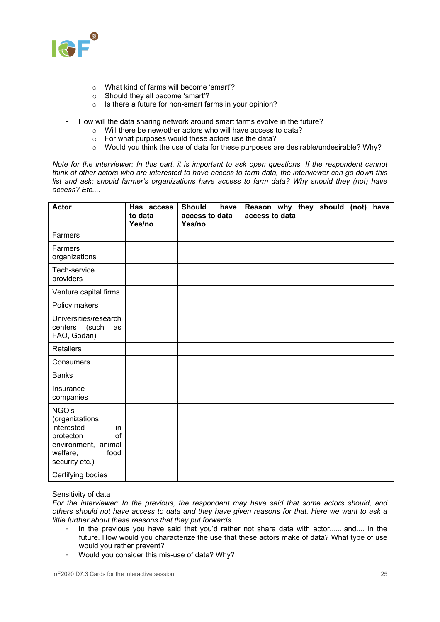

- o What kind of farms will become 'smart'?
- o Should they all become 'smart'?
- o Is there a future for non-smart farms in your opinion?
- How will the data sharing network around smart farms evolve in the future?
	- o Will there be new/other actors who will have access to data?
	- o For what purposes would these actors use the data?
	- $\circ$  Would you think the use of data for these purposes are desirable/undesirable? Why?

*Note for the interviewer: In this part, it is important to ask open questions. If the respondent cannot think of other actors who are interested to have access to farm data, the interviewer can go down this list and ask: should farmer's organizations have access to farm data? Why should they (not) have access? Etc....*

| <b>Actor</b>                                                                                                                 | Has access<br>to data<br>Yes/no | <b>Should</b><br>have<br>access to data<br>Yes/no | Reason why they should (not)<br>have<br>access to data |
|------------------------------------------------------------------------------------------------------------------------------|---------------------------------|---------------------------------------------------|--------------------------------------------------------|
| Farmers                                                                                                                      |                                 |                                                   |                                                        |
| Farmers<br>organizations                                                                                                     |                                 |                                                   |                                                        |
| Tech-service<br>providers                                                                                                    |                                 |                                                   |                                                        |
| Venture capital firms                                                                                                        |                                 |                                                   |                                                        |
| Policy makers                                                                                                                |                                 |                                                   |                                                        |
| Universities/research<br>centers (such<br>as<br>FAO, Godan)                                                                  |                                 |                                                   |                                                        |
| Retailers                                                                                                                    |                                 |                                                   |                                                        |
| Consumers                                                                                                                    |                                 |                                                   |                                                        |
| <b>Banks</b>                                                                                                                 |                                 |                                                   |                                                        |
| Insurance<br>companies                                                                                                       |                                 |                                                   |                                                        |
| NGO's<br>(organizations<br>interested<br>in.<br>protecton<br>of<br>environment, animal<br>welfare,<br>food<br>security etc.) |                                 |                                                   |                                                        |
| Certifying bodies                                                                                                            |                                 |                                                   |                                                        |

### Sensitivity of data

*For the interviewer: In the previous, the respondent may have said that some actors should, and others should not have access to data and they have given reasons for that. Here we want to ask a little further about these reasons that they put forwards.* 

- In the previous you have said that you'd rather not share data with actor.......and.... in the future. How would you characterize the use that these actors make of data? What type of use would you rather prevent?
- Would you consider this mis-use of data? Why?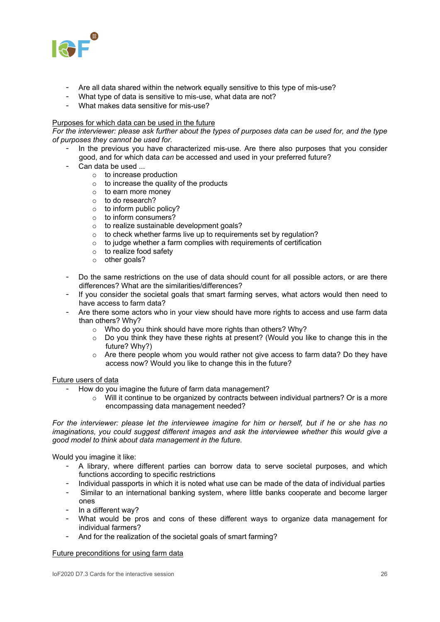

- Are all data shared within the network equally sensitive to this type of mis-use?
- What type of data is sensitive to mis-use, what data are not?
- What makes data sensitive for mis-use?

#### Purposes for which data can be used in the future

*For the interviewer: please ask further about the types of purposes data can be used for, and the type of purposes they cannot be used for.* 

- In the previous you have characterized mis-use. Are there also purposes that you consider good, and for which data *can* be accessed and used in your preferred future?
- Can data be used ...
	- o to increase production
	- $\circ$  to increase the quality of the products
	- o to earn more money
	- o to do research?
	- $\circ$  to inform public policy?
	- o to inform consumers?
	- o to realize sustainable development goals?
	- o to check whether farms live up to requirements set by regulation?
	- $\circ$  to judge whether a farm complies with requirements of certification
	- o to realize food safety
	- o other goals?
- Do the same restrictions on the use of data should count for all possible actors, or are there differences? What are the similarities/differences?
- If you consider the societal goals that smart farming serves, what actors would then need to have access to farm data?
- Are there some actors who in your view should have more rights to access and use farm data than others? Why?
	- o Who do you think should have more rights than others? Why?
	- $\circ$  Do you think they have these rights at present? (Would you like to change this in the future? Why?)
	- o Are there people whom you would rather not give access to farm data? Do they have access now? Would you like to change this in the future?

#### Future users of data

- How do you imagine the future of farm data management?
	- $\circ$  Will it continue to be organized by contracts between individual partners? Or is a more encompassing data management needed?

*For the interviewer: please let the interviewee imagine for him or herself, but if he or she has no imaginations, you could suggest different images and ask the interviewee whether this would give a good model to think about data management in the future.*

Would you imagine it like:

- A library, where different parties can borrow data to serve societal purposes, and which functions according to specific restrictions
- Individual passports in which it is noted what use can be made of the data of individual parties
- Similar to an international banking system, where little banks cooperate and become larger ones
- In a different way?
- What would be pros and cons of these different ways to organize data management for individual farmers?
- And for the realization of the societal goals of smart farming?

#### Future preconditions for using farm data